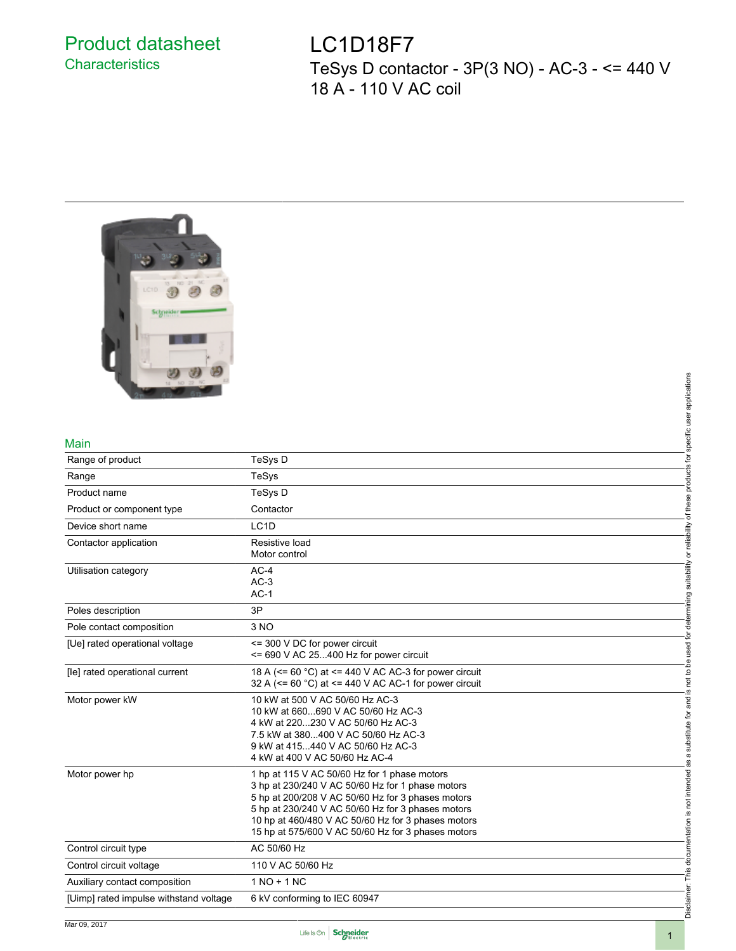### Product datasheet **Characteristics**

LC1D18F7 TeSys D contactor - 3P(3 NO) - AC-3 - <= 440 V 18 A - 110 V AC coil



#### Main

|                                        | applications                                                                                                                                       |
|----------------------------------------|----------------------------------------------------------------------------------------------------------------------------------------------------|
|                                        |                                                                                                                                                    |
|                                        |                                                                                                                                                    |
| Main                                   | specific user                                                                                                                                      |
| Range of product                       | ţ<br>TeSys D                                                                                                                                       |
| Range                                  | products<br>TeSys                                                                                                                                  |
| Product name                           | TeSys D                                                                                                                                            |
| Product or component type              | of these<br>Contactor                                                                                                                              |
| Device short name                      | LC <sub>1</sub> D                                                                                                                                  |
| Contactor application                  | or reliability<br>Resistive load                                                                                                                   |
|                                        | Motor control                                                                                                                                      |
| Utilisation category                   | suitabilit<br>$AC-4$                                                                                                                               |
|                                        | $AC-3$<br>$AC-1$                                                                                                                                   |
| Poles description                      | determining<br>3P                                                                                                                                  |
|                                        |                                                                                                                                                    |
| Pole contact composition               | 3 NO                                                                                                                                               |
| [Ue] rated operational voltage         | used for<br><= 300 V DC for power circuit                                                                                                          |
|                                        | <= 690 V AC 25400 Hz for power circuit<br>ed<br>Q                                                                                                  |
| [le] rated operational current         | 18 A (<= 60 °C) at <= 440 V AC AC-3 for power circuit<br>not to I<br>32 A ( $\leq$ = 60 °C) at $\leq$ 440 V AC AC-1 for power circuit<br><u>.ഗ</u> |
| Motor power kW                         | 10 kW at 500 V AC 50/60 Hz AC-3<br>and                                                                                                             |
|                                        | 10 kW at 660690 V AC 50/60 Hz AC-3                                                                                                                 |
|                                        | substitute for<br>4 kW at 220230 V AC 50/60 Hz AC-3<br>7.5 kW at 380400 V AC 50/60 Hz AC-3                                                         |
|                                        | 9 kW at 415440 V AC 50/60 Hz AC-3                                                                                                                  |
|                                        | $\sigma$<br>4 kW at 400 V AC 50/60 Hz AC-4                                                                                                         |
| Motor power hp                         | 1 hp at 115 V AC 50/60 Hz for 1 phase motors                                                                                                       |
|                                        | is not intended<br>3 hp at 230/240 V AC 50/60 Hz for 1 phase motors                                                                                |
|                                        | 5 hp at 200/208 V AC 50/60 Hz for 3 phases motors                                                                                                  |
|                                        | 5 hp at 230/240 V AC 50/60 Hz for 3 phases motors<br>10 hp at 460/480 V AC 50/60 Hz for 3 phases motors                                            |
|                                        | 15 hp at 575/600 V AC 50/60 Hz for 3 phases motors                                                                                                 |
| Control circuit type                   | documentation<br>AC 50/60 Hz                                                                                                                       |
| Control circuit voltage                | 110 V AC 50/60 Hz                                                                                                                                  |
| Auxiliary contact composition          | This<br>$1 NQ + 1 NC$                                                                                                                              |
| [Uimp] rated impulse withstand voltage | 6 kV conforming to IEC 60947                                                                                                                       |
|                                        | Disclaim                                                                                                                                           |



Disclaimer: This documentation is not intended as a substitute for and is not to be used for determining suitability or reliability of these products for specific user applications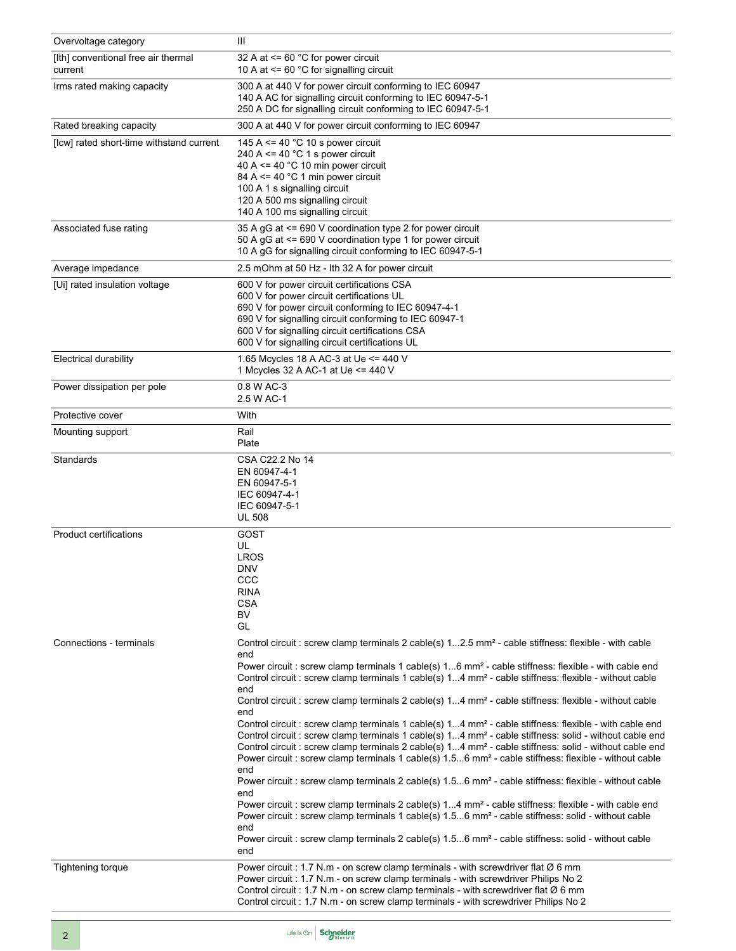| Overvoltage category                           | Ш                                                                                                                                                                                                                                                                                                                                                                                                                                                                                                                                                                                                                                                                                                                                                                                                                                                                                                                                                                                                   |  |
|------------------------------------------------|-----------------------------------------------------------------------------------------------------------------------------------------------------------------------------------------------------------------------------------------------------------------------------------------------------------------------------------------------------------------------------------------------------------------------------------------------------------------------------------------------------------------------------------------------------------------------------------------------------------------------------------------------------------------------------------------------------------------------------------------------------------------------------------------------------------------------------------------------------------------------------------------------------------------------------------------------------------------------------------------------------|--|
| [Ith] conventional free air thermal<br>current | 32 A at $\leq$ 60 °C for power circuit<br>10 A at $\leq$ 60 °C for signalling circuit                                                                                                                                                                                                                                                                                                                                                                                                                                                                                                                                                                                                                                                                                                                                                                                                                                                                                                               |  |
| Irms rated making capacity                     | 300 A at 440 V for power circuit conforming to IEC 60947<br>140 A AC for signalling circuit conforming to IEC 60947-5-1<br>250 A DC for signalling circuit conforming to IEC 60947-5-1                                                                                                                                                                                                                                                                                                                                                                                                                                                                                                                                                                                                                                                                                                                                                                                                              |  |
| Rated breaking capacity                        | 300 A at 440 V for power circuit conforming to IEC 60947                                                                                                                                                                                                                                                                                                                                                                                                                                                                                                                                                                                                                                                                                                                                                                                                                                                                                                                                            |  |
| [Icw] rated short-time withstand current       | 145 A <= 40 $^{\circ}$ C 10 s power circuit<br>240 A <= 40 $^{\circ}$ C 1 s power circuit<br>40 A <= 40 $^{\circ}$ C 10 min power circuit<br>84 A $\leq$ = 40 °C 1 min power circuit<br>100 A 1 s signalling circuit<br>120 A 500 ms signalling circuit<br>140 A 100 ms signalling circuit                                                                                                                                                                                                                                                                                                                                                                                                                                                                                                                                                                                                                                                                                                          |  |
| Associated fuse rating                         | 35 A gG at <= 690 V coordination type 2 for power circuit<br>50 A gG at <= 690 V coordination type 1 for power circuit<br>10 A gG for signalling circuit conforming to IEC 60947-5-1                                                                                                                                                                                                                                                                                                                                                                                                                                                                                                                                                                                                                                                                                                                                                                                                                |  |
| Average impedance                              | 2.5 mOhm at 50 Hz - Ith 32 A for power circuit                                                                                                                                                                                                                                                                                                                                                                                                                                                                                                                                                                                                                                                                                                                                                                                                                                                                                                                                                      |  |
| [Ui] rated insulation voltage                  | 600 V for power circuit certifications CSA<br>600 V for power circuit certifications UL<br>690 V for power circuit conforming to IEC 60947-4-1<br>690 V for signalling circuit conforming to IEC 60947-1<br>600 V for signalling circuit certifications CSA<br>600 V for signalling circuit certifications UL                                                                                                                                                                                                                                                                                                                                                                                                                                                                                                                                                                                                                                                                                       |  |
| <b>Electrical durability</b>                   | 1.65 Mcycles 18 A AC-3 at Ue <= 440 V<br>1 Mcycles 32 A AC-1 at Ue <= 440 V                                                                                                                                                                                                                                                                                                                                                                                                                                                                                                                                                                                                                                                                                                                                                                                                                                                                                                                         |  |
| Power dissipation per pole                     | 0.8 W AC-3<br>2.5 W AC-1                                                                                                                                                                                                                                                                                                                                                                                                                                                                                                                                                                                                                                                                                                                                                                                                                                                                                                                                                                            |  |
| Protective cover                               | With                                                                                                                                                                                                                                                                                                                                                                                                                                                                                                                                                                                                                                                                                                                                                                                                                                                                                                                                                                                                |  |
| Mounting support                               | Rail<br>Plate                                                                                                                                                                                                                                                                                                                                                                                                                                                                                                                                                                                                                                                                                                                                                                                                                                                                                                                                                                                       |  |
| Standards                                      | CSA C22.2 No 14<br>EN 60947-4-1<br>EN 60947-5-1<br>IEC 60947-4-1<br>IEC 60947-5-1<br><b>UL 508</b>                                                                                                                                                                                                                                                                                                                                                                                                                                                                                                                                                                                                                                                                                                                                                                                                                                                                                                  |  |
| <b>Product certifications</b>                  | GOST<br>UL<br><b>LROS</b><br><b>DNV</b><br>CCC<br><b>RINA</b><br><b>CSA</b><br>BV<br>GL                                                                                                                                                                                                                                                                                                                                                                                                                                                                                                                                                                                                                                                                                                                                                                                                                                                                                                             |  |
| Connections - terminals                        | Control circuit : screw clamp terminals 2 cable(s) 12.5 mm <sup>2</sup> - cable stiffness: flexible - with cable                                                                                                                                                                                                                                                                                                                                                                                                                                                                                                                                                                                                                                                                                                                                                                                                                                                                                    |  |
|                                                | end<br>Power circuit : screw clamp terminals 1 cable(s) 16 mm <sup>2</sup> - cable stiffness: flexible - with cable end<br>Control circuit : screw clamp terminals 1 cable(s) 14 mm <sup>2</sup> - cable stiffness: flexible - without cable<br>end<br>Control circuit : screw clamp terminals 2 cable(s) 14 mm <sup>2</sup> - cable stiffness: flexible - without cable                                                                                                                                                                                                                                                                                                                                                                                                                                                                                                                                                                                                                            |  |
|                                                | end<br>Control circuit : screw clamp terminals 1 cable(s) 14 mm <sup>2</sup> - cable stiffness: flexible - with cable end<br>Control circuit : screw clamp terminals 1 cable(s) 14 mm <sup>2</sup> - cable stiffness: solid - without cable end<br>Control circuit : screw clamp terminals 2 cable(s) 14 mm <sup>2</sup> - cable stiffness: solid - without cable end<br>Power circuit : screw clamp terminals 1 cable(s) 1.56 mm <sup>2</sup> - cable stiffness: flexible - without cable<br>end<br>Power circuit : screw clamp terminals 2 cable(s) 1.56 mm <sup>2</sup> - cable stiffness: flexible - without cable<br>end<br>Power circuit : screw clamp terminals 2 cable(s) 14 mm <sup>2</sup> - cable stiffness: flexible - with cable end<br>Power circuit : screw clamp terminals 1 cable(s) 1.56 mm <sup>2</sup> - cable stiffness: solid - without cable<br>end<br>Power circuit : screw clamp terminals 2 cable(s) 1.56 mm <sup>2</sup> - cable stiffness: solid - without cable<br>end |  |
| Tightening torque                              | Power circuit: 1.7 N.m - on screw clamp terminals - with screwdriver flat Ø 6 mm<br>Power circuit : 1.7 N.m - on screw clamp terminals - with screwdriver Philips No 2<br>Control circuit : 1.7 N.m - on screw clamp terminals - with screwdriver flat $\varnothing$ 6 mm<br>Control circuit : 1.7 N.m - on screw clamp terminals - with screwdriver Philips No 2                                                                                                                                                                                                                                                                                                                                                                                                                                                                                                                                                                                                                                   |  |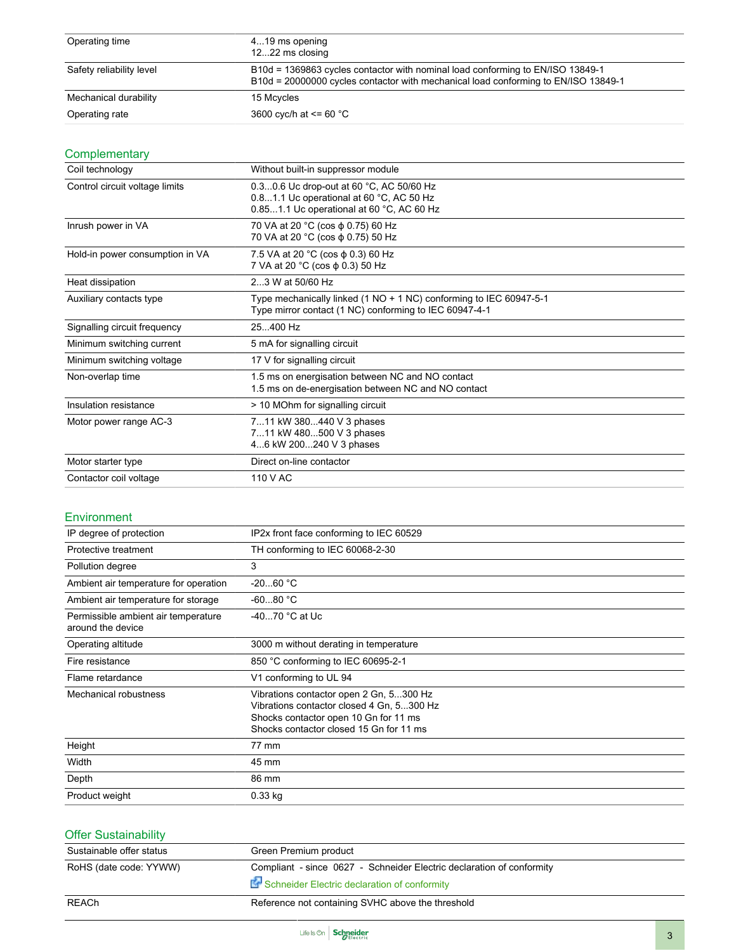| Operating time           | 419 ms opening<br>1222 ms closing                                                                                                                                    |
|--------------------------|----------------------------------------------------------------------------------------------------------------------------------------------------------------------|
| Safety reliability level | B10d = 1369863 cycles contactor with nominal load conforming to EN/ISO 13849-1<br>B10d = 20000000 cycles contactor with mechanical load conforming to EN/ISO 13849-1 |
| Mechanical durability    | 15 Mcvcles                                                                                                                                                           |
| Operating rate           | 3600 cyc/h at $\leq$ 60 °C                                                                                                                                           |

### **Complementary**

| Coil technology                 | Without built-in suppressor module                                                                                                |  |
|---------------------------------|-----------------------------------------------------------------------------------------------------------------------------------|--|
| Control circuit voltage limits  | 0.30.6 Uc drop-out at 60 °C, AC 50/60 Hz<br>0.81.1 Uc operational at 60 °C, AC 50 Hz<br>0.851.1 Uc operational at 60 °C, AC 60 Hz |  |
| Inrush power in VA              | 70 VA at 20 °C (cos φ 0.75) 60 Hz<br>70 VA at 20 °C (cos φ 0.75) 50 Hz                                                            |  |
| Hold-in power consumption in VA | 7.5 VA at 20 °C (cos φ 0.3) 60 Hz<br>7 VA at 20 °C (cos φ 0.3) 50 Hz                                                              |  |
| Heat dissipation                | 23 W at 50/60 Hz                                                                                                                  |  |
| Auxiliary contacts type         | Type mechanically linked (1 NO + 1 NC) conforming to IEC 60947-5-1<br>Type mirror contact (1 NC) conforming to IEC 60947-4-1      |  |
| Signalling circuit frequency    | 25.400 Hz                                                                                                                         |  |
| Minimum switching current       | 5 mA for signalling circuit                                                                                                       |  |
| Minimum switching voltage       | 17 V for signalling circuit                                                                                                       |  |
| Non-overlap time                | 1.5 ms on energisation between NC and NO contact<br>1.5 ms on de-energisation between NC and NO contact                           |  |
| Insulation resistance           | > 10 MOhm for signalling circuit                                                                                                  |  |
| Motor power range AC-3          | 711 kW 380440 V 3 phases<br>711 kW 480500 V 3 phases<br>46 kW 200240 V 3 phases                                                   |  |
| Motor starter type              | Direct on-line contactor                                                                                                          |  |
| Contactor coil voltage          | 110 V AC                                                                                                                          |  |

#### Environment

| IP degree of protection                                  | IP2x front face conforming to IEC 60529                                                                                                                                  |
|----------------------------------------------------------|--------------------------------------------------------------------------------------------------------------------------------------------------------------------------|
| Protective treatment                                     | TH conforming to IEC 60068-2-30                                                                                                                                          |
| Pollution degree                                         | 3                                                                                                                                                                        |
| Ambient air temperature for operation                    | $-2060 °C$                                                                                                                                                               |
| Ambient air temperature for storage                      | $-6080 °C$                                                                                                                                                               |
| Permissible ambient air temperature<br>around the device | $-4070$ °C at Uc                                                                                                                                                         |
| Operating altitude                                       | 3000 m without derating in temperature                                                                                                                                   |
| Fire resistance                                          | 850 °C conforming to IEC 60695-2-1                                                                                                                                       |
| Flame retardance                                         | V1 conforming to UL 94                                                                                                                                                   |
| Mechanical robustness                                    | Vibrations contactor open 2 Gn, 5300 Hz<br>Vibrations contactor closed 4 Gn, 5300 Hz<br>Shocks contactor open 10 Gn for 11 ms<br>Shocks contactor closed 15 Gn for 11 ms |
| Height                                                   | 77 mm                                                                                                                                                                    |
| Width                                                    | 45 mm                                                                                                                                                                    |
| Depth                                                    | 86 mm                                                                                                                                                                    |
| Product weight                                           | $0.33$ kg                                                                                                                                                                |

| <b>Offer Sustainability</b> |                                                                                                                       |
|-----------------------------|-----------------------------------------------------------------------------------------------------------------------|
| Sustainable offer status    | Green Premium product                                                                                                 |
| RoHS (date code: YYWW)      | Compliant - since 0627 - Schneider Electric declaration of conformity<br>Schneider Electric declaration of conformity |
| REACh                       | Reference not containing SVHC above the threshold                                                                     |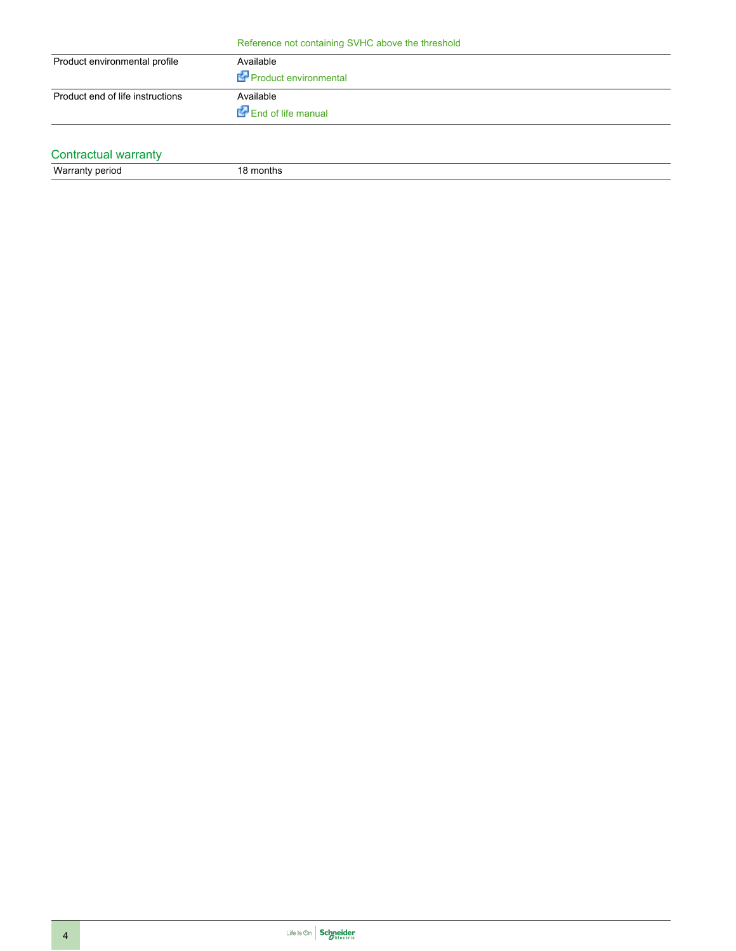|  | Reference not containing SVHC above the threshold |
|--|---------------------------------------------------|
|--|---------------------------------------------------|

| Product environmental profile    | Available<br>Product environmental |
|----------------------------------|------------------------------------|
| Product end of life instructions | Available<br>End of life manual    |

### Contractual warranty

Warranty period 18 months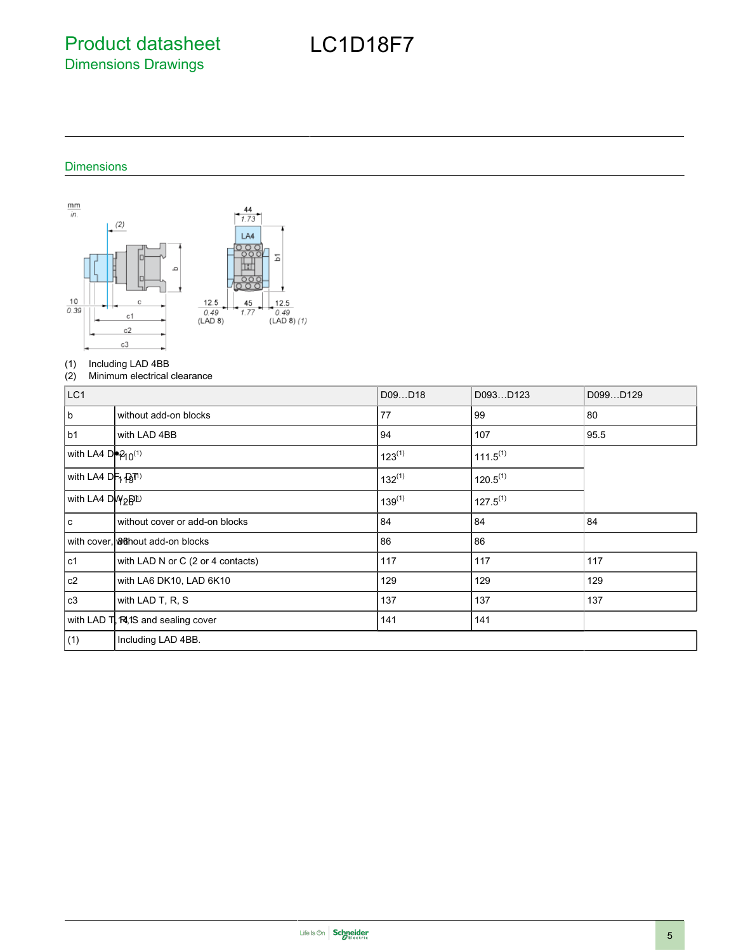Product datasheet Dimensions Drawings

## LC1D18F7

#### Dimensions



# (1) Including LAD 4BB<br>(2) Minimum electrical

Minimum electrical clearance

| LC <sub>1</sub>                           |                                              | D09D18      | D093D123      | D099D129 |
|-------------------------------------------|----------------------------------------------|-------------|---------------|----------|
| b.                                        | without add-on blocks                        | 77          | 99            | 80       |
| b1                                        | with LAD 4BB                                 | 94          | 107           | 95.5     |
| with LA4 De2 <sub>10</sub> <sup>(1)</sup> |                                              | $123^{(1)}$ | $111.5^{(1)}$ |          |
| with LA4 DF1 (ATI)                        |                                              | $132^{(1)}$ | $120.5^{(1)}$ |          |
| with LA4 DW <sub>2</sub> B <sup>ID</sup>  |                                              | $139^{(1)}$ | $127.5^{(1)}$ |          |
| l c                                       | without cover or add-on blocks               | 84          | 84            | 84       |
|                                           | with cover, <b>&amp; Conductive Conducts</b> | 86          | 86            |          |
| c1 l                                      | with LAD N or C (2 or 4 contacts)            | 117         | 117           | 117      |
| c2                                        | with LA6 DK10, LAD 6K10                      | 129         | 129           | 129      |
| c3                                        | with LAD T, R, S                             | 137         | 137           | 137      |
|                                           | with LAD T, RI, 1S and sealing cover         | 141         | 141           |          |
| (1)                                       | Including LAD 4BB.                           |             |               |          |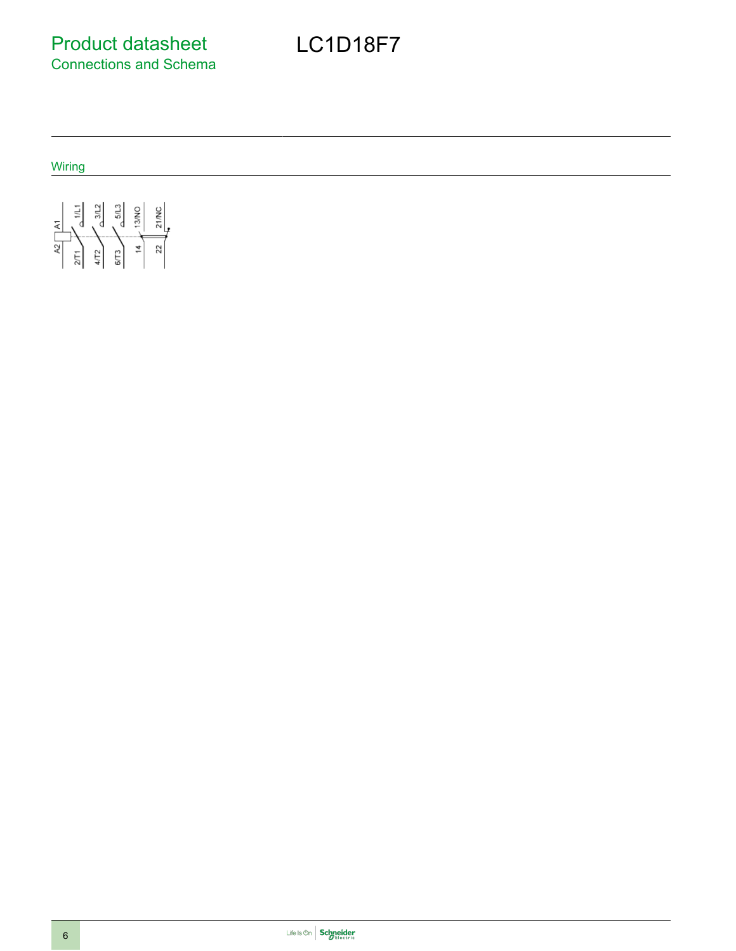Wiring